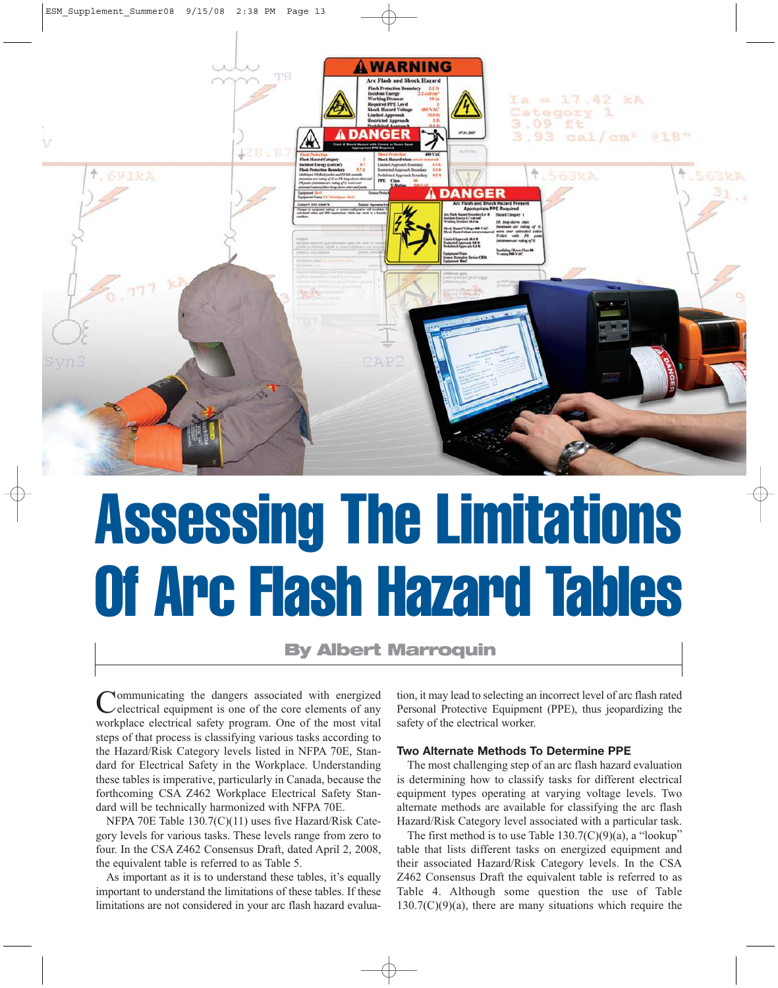

# Assessing The Limitations Of Arc Flash Hazard Tables

# **By Albert Marroquin**

Communicating the dangers associated with energized electrical equipment is one of the core elements of any workplace electrical safety program. One of the most vital steps of that process is classifying various tasks according to the Hazard/Risk Category levels listed in NFPA 70E, Standard for Electrical Safety in the Workplace. Understanding these tables is imperative, particularly in Canada, because the forthcoming CSA Z462 Workplace Electrical Safety Standard will be technically harmonized with NFPA 70E.

NFPA 70E Table 130.7(C)(11) uses five Hazard/Risk Category levels for various tasks. These levels range from zero to four. In the CSA Z462 Consensus Draft, dated April 2, 2008, the equivalent table is referred to as Table 5.

As important as it is to understand these tables, it's equally important to understand the limitations of these tables. If these limitations are not considered in your arc flash hazard evaluation, it may lead to selecting an incorrect level of arc flash rated Personal Protective Equipment (PPE), thus jeopardizing the safety of the electrical worker.

# **Two Alternate Methods To Determine PPE**

The most challenging step of an arc flash hazard evaluation is determining how to classify tasks for different electrical equipment types operating at varying voltage levels. Two alternate methods are available for classifying the arc flash Hazard/Risk Category level associated with a particular task.

The first method is to use Table  $130.7(C)(9)(a)$ , a "lookup" table that lists different tasks on energized equipment and their associated Hazard/Risk Category levels. In the CSA Z462 Consensus Draft the equivalent table is referred to as Table 4. Although some question the use of Table  $130.7(C)(9)(a)$ , there are many situations which require the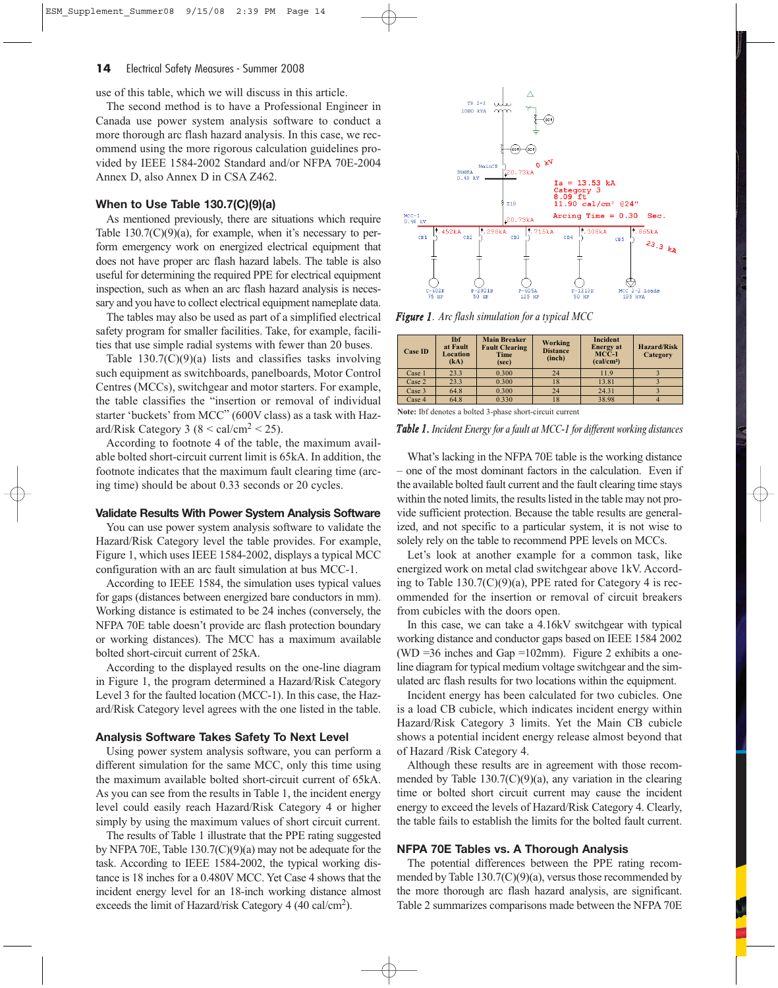#### **14** Electrical Safety Measures - Summer 2008

use of this table, which we will discuss in this article.

The second method is to have a Professional Engineer in Canada use power system analysis software to conduct a more thorough arc flash hazard analysis. In this case, we recommend using the more rigorous calculation guidelines provided by IEEE 1584-2002 Standard and/or NFPA 70E-2004 Annex D, also Annex D in CSA Z462.

# **When to Use Table 130.7(C)(9)(a)**

As mentioned previously, there are situations which require Table  $130.7(C)(9)(a)$ , for example, when it's necessary to perform emergency work on energized electrical equipment that does not have proper arc flash hazard labels. The table is also useful for determining the required PPE for electrical equipment inspection, such as when an arc flash hazard analysis is necessary and you have to collect electrical equipment nameplate data.

The tables may also be used as part of a simplified electrical safety program for smaller facilities. Take, for example, facilities that use simple radial systems with fewer than 20 buses.

Table  $130.7(C)(9)(a)$  lists and classifies tasks involving such equipment as switchboards, panelboards, Motor Control Centres (MCCs), switchgear and motor starters. For example, the table classifies the "insertion or removal of individual starter 'buckets' from MCC" (600V class) as a task with Hazard/Risk Category 3 ( $8 < \text{cal/cm}^2 < 25$ ).

According to footnote 4 of the table, the maximum available bolted short-circuit current limit is 65kA. In addition, the footnote indicates that the maximum fault clearing time (arcing time) should be about 0.33 seconds or 20 cycles.

#### **Validate Results With Power System Analysis Software**

You can use power system analysis software to validate the Hazard/Risk Category level the table provides. For example, Figure 1, which uses IEEE 1584-2002, displays a typical MCC configuration with an arc fault simulation at bus MCC-1.

According to IEEE 1584, the simulation uses typical values for gaps (distances between energized bare conductors in mm). Working distance is estimated to be 24 inches (conversely, the NFPA 70E table doesn't provide arc flash protection boundary or working distances). The MCC has a maximum available bolted short-circuit current of 25kA.

According to the displayed results on the one-line diagram in Figure 1, the program determined a Hazard/Risk Category Level 3 for the faulted location (MCC-1). In this case, the Hazard/Risk Category level agrees with the one listed in the table.

#### **Analysis Software Takes Safety To Next Level**

Using power system analysis software, you can perform a different simulation for the same MCC, only this time using the maximum available bolted short-circuit current of 65kA. As you can see from the results in Table 1, the incident energy level could easily reach Hazard/Risk Category 4 or higher simply by using the maximum values of short circuit current.

The results of Table 1 illustrate that the PPE rating suggested by NFPA 70E, Table 130.7(C)(9)(a) may not be adequate for the task. According to IEEE 1584-2002, the typical working distance is 18 inches for a 0.480V MCC. Yet Case 4 shows that the incident energy level for an 18-inch working distance almost exceeds the limit of Hazard/risk Category 4 (40 cal/cm<sup>2</sup>).



*Figure 1. Arc flash simulation for a typical MCC*

| <b>Case ID</b> | <b>Thf</b><br>at Fault<br>Location<br>(kA) | <b>Main Breaker</b><br><b>Fault Clearing</b><br>Time<br>(sec) | Working<br><b>Distance</b><br>(inch) | Incident<br><b>Energy</b> at<br>$MCC-1$<br>(cal/cm <sup>2</sup> ) | <b>Hazard/Risk</b><br>Category |  |
|----------------|--------------------------------------------|---------------------------------------------------------------|--------------------------------------|-------------------------------------------------------------------|--------------------------------|--|
| Case 1         | 23.3                                       | 0.300                                                         | 24                                   | 11.9                                                              |                                |  |
| Case 2         | 23.3                                       | 0.300                                                         | 18                                   | 13.81                                                             |                                |  |
| Case 3         | 64.8                                       | 0.300                                                         | 24                                   | 24.31                                                             |                                |  |
| Case 4         | 64.8                                       | 0.330                                                         | 18                                   | 38.98                                                             |                                |  |

**Note:** Ibf denotes a bolted 3-phase short-circuit current

### *Table 1. Incident Energy for a fault at MCC-1 for different working distances*

What's lacking in the NFPA 70E table is the working distance – one of the most dominant factors in the calculation. Even if the available bolted fault current and the fault clearing time stays within the noted limits, the results listed in the table may not provide sufficient protection. Because the table results are generalized, and not specific to a particular system, it is not wise to solely rely on the table to recommend PPE levels on MCCs.

Let's look at another example for a common task, like energized work on metal clad switchgear above 1kV. According to Table  $130.7(C)(9)(a)$ , PPE rated for Category 4 is recommended for the insertion or removal of circuit breakers from cubicles with the doors open.

In this case, we can take a 4.16kV switchgear with typical working distance and conductor gaps based on IEEE 1584 2002 (WD =36 inches and Gap =102mm). Figure 2 exhibits a oneline diagram for typical medium voltage switchgear and the simulated arc flash results for two locations within the equipment.

Incident energy has been calculated for two cubicles. One is a load CB cubicle, which indicates incident energy within Hazard/Risk Category 3 limits. Yet the Main CB cubicle shows a potential incident energy release almost beyond that of Hazard /Risk Category 4.

Although these results are in agreement with those recommended by Table  $130.7(C)(9)(a)$ , any variation in the clearing time or bolted short circuit current may cause the incident energy to exceed the levels of Hazard/Risk Category 4. Clearly, the table fails to establish the limits for the bolted fault current.

## **NFPA 70E Tables vs. A Thorough Analysis**

The potential differences between the PPE rating recommended by Table 130.7(C)(9)(a), versus those recommended by the more thorough arc flash hazard analysis, are significant. Table 2 summarizes comparisons made between the NFPA 70E